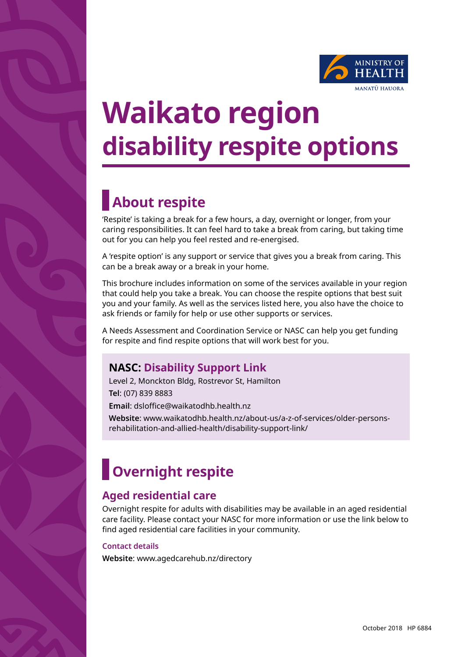

# **Waikato region disability respite options**

## **About respite**

'Respite' is taking a break for a few hours, a day, overnight or longer, from your caring responsibilities. It can feel hard to take a break from caring, but taking time out for you can help you feel rested and re-energised.

A 'respite option' is any support or service that gives you a break from caring. This can be a break away or a break in your home.

This brochure includes information on some of the services available in your region that could help you take a break. You can choose the respite options that best suit you and your family. As well as the services listed here, you also have the choice to ask friends or family for help or use other supports or services.

A Needs Assessment and Coordination Service or NASC can help you get funding for respite and find respite options that will work best for you.

## **NASC: Disability Support Link**

Level 2, Monckton Bldg, Rostrevor St, Hamilton **Tel**: (07) 839 8883 **Email**: dsloffice@waikatodhb.health.nz

**Website**: www.waikatodhb.health.nz/about-us/a-z-of-services/older-personsrehabilitation-and-allied-health/disability-support-link/

## **Overnight respite**

## **Aged residential care**

Overnight respite for adults with disabilities may be available in an aged residential care facility. Please contact your NASC for more information or use the link below to find aged residential care facilities in your community.

#### **Contact details**

**Website**: www.agedcarehub.nz/directory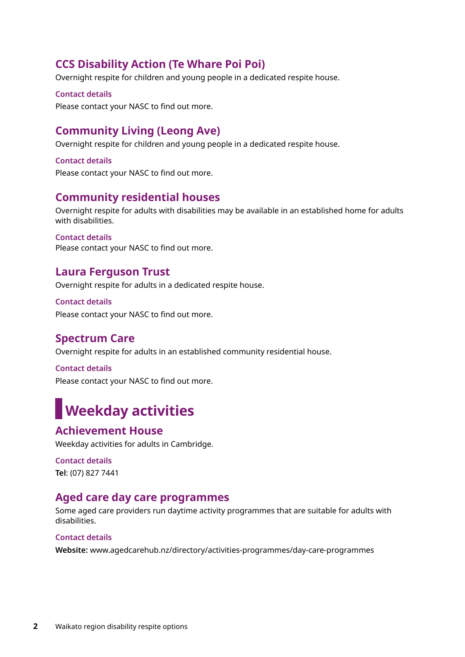## **CCS Disability Action (Te Whare Poi Poi)**

Overnight respite for children and young people in a dedicated respite house.

#### **Contact details**

Please contact your NASC to find out more.

## **Community Living (Leong Ave)**

Overnight respite for children and young people in a dedicated respite house.

**Contact details** Please contact your NASC to find out more.

## **Community residential houses**

Overnight respite for adults with disabilities may be available in an established home for adults with disabilities.

#### **Contact details**

Please contact your NASC to find out more.

### **Laura Ferguson Trust**

Overnight respite for adults in a dedicated respite house.

**Contact details**  Please contact your NASC to find out more.

## **Spectrum Care**

Overnight respite for adults in an established community residential house.

**Contact details** Please contact your NASC to find out more.

## **Weekday activities**

## **Achievement House**

Weekday activities for adults in Cambridge.

**Contact details Tel**: (07) 827 7441

## **Aged care day care programmes**

Some aged care providers run daytime activity programmes that are suitable for adults with disabilities.

#### **Contact details**

**Website:** www.agedcarehub.nz/directory/activities-programmes/day-care-programmes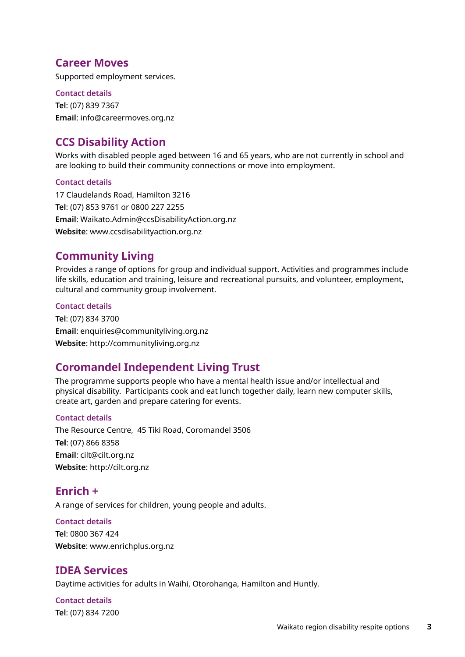## **Career Moves**

Supported employment services.

**Contact details Tel**: (07) 839 7367 **Email**: info@careermoves.org.nz

## **CCS Disability Action**

Works with disabled people aged between 16 and 65 years, who are not currently in school and are looking to build their community connections or move into employment.

#### **Contact details**

17 Claudelands Road, Hamilton 3216 **Tel**: (07) 853 9761 or 0800 227 2255 **Email**: Waikato.Admin@ccsDisabilityAction.org.nz **Website**: www.ccsdisabilityaction.org.nz

## **Community Living**

Provides a range of options for group and individual support. Activities and programmes include life skills, education and training, leisure and recreational pursuits, and volunteer, employment, cultural and community group involvement.

#### **Contact details**

**Tel**: (07) 834 3700 **Email**: enquiries@communityliving.org.nz **Website**: http://communityliving.org.nz

## **Coromandel Independent Living Trust**

The programme supports people who have a mental health issue and/or intellectual and physical disability. Participants cook and eat lunch together daily, learn new computer skills, create art, garden and prepare catering for events.

#### **Contact details**

The Resource Centre, 45 Tiki Road, Coromandel 3506 **Tel**: (07) 866 8358 **Email**: cilt@cilt.org.nz **Website**: http://cilt.org.nz

## **Enrich +**

A range of services for children, young people and adults.

#### **Contact details**

**Tel**: 0800 367 424 **Website**: www.enrichplus.org.nz

## **IDEA Services**

Daytime activities for adults in Waihi, Otorohanga, Hamilton and Huntly.

**Contact details Tel**: (07) 834 7200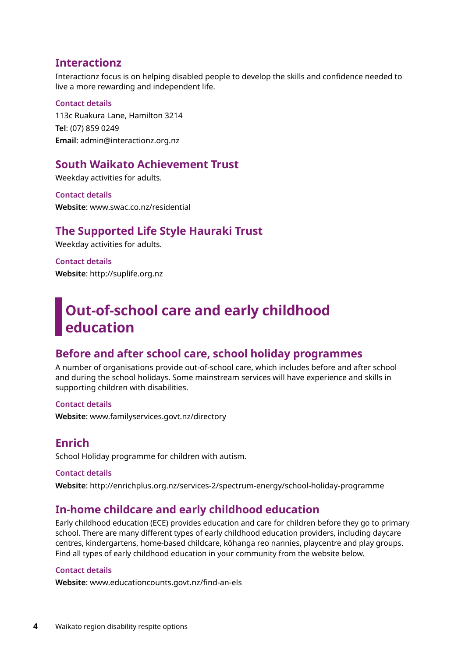## **Interactionz**

Interactionz focus is on helping disabled people to develop the skills and confidence needed to live a more rewarding and independent life.

#### **Contact details**

113c Ruakura Lane, Hamilton 3214 **Tel**: (07) 859 0249 **Email**: admin@interactionz.org.nz

### **South Waikato Achievement Trust**

Weekday activities for adults.

**Contact details Website**: www.swac.co.nz/residential

## **The Supported Life Style Hauraki Trust**

Weekday activities for adults.

**Contact details Website**: http://suplife.org.nz

## **Out-of-school care and early childhood education**

## **Before and after school care, school holiday programmes**

A number of organisations provide out-of-school care, which includes before and after school and during the school holidays. Some mainstream services will have experience and skills in supporting children with disabilities.

**Contact details**

**Website**: www.familyservices.govt.nz/directory

## **Enrich**

School Holiday programme for children with autism.

**Contact details Website**: http://enrichplus.org.nz/services-2/spectrum-energy/school-holiday-programme

## **In-home childcare and early childhood education**

Early childhood education (ECE) provides education and care for children before they go to primary school. There are many different types of early childhood education providers, including daycare centres, kindergartens, home-based childcare, kōhanga reo nannies, playcentre and play groups. Find all types of early childhood education in your community from the website below.

#### **Contact details**

**Website**: www.educationcounts.govt.nz/find-an-els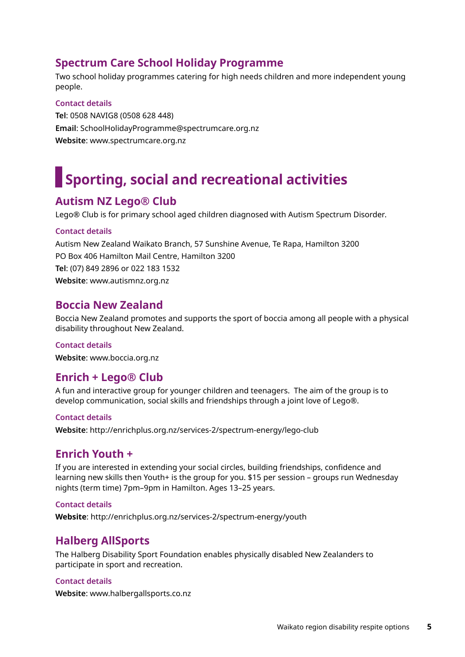## **Spectrum Care School Holiday Programme**

Two school holiday programmes catering for high needs children and more independent young people.

## **Contact details**

**Tel**: 0508 NAVIG8 (0508 628 448) **Email**: SchoolHolidayProgramme@spectrumcare.org.nz **Website**: www.spectrumcare.org.nz

## **Sporting, social and recreational activities**

## **Autism NZ Lego® Club**

Lego® Club is for primary school aged children diagnosed with Autism Spectrum Disorder.

#### **Contact details**

Autism New Zealand Waikato Branch, 57 Sunshine Avenue, Te Rapa, Hamilton 3200 PO Box 406 Hamilton Mail Centre, Hamilton 3200 **Tel**: (07) 849 2896 or 022 183 1532 **Website**: www.autismnz.org.nz

## **Boccia New Zealand**

Boccia New Zealand promotes and supports the sport of boccia among all people with a physical disability throughout New Zealand.

#### **Contact details**

**Website**: www.boccia.org.nz

## **Enrich + Lego® Club**

A fun and interactive group for younger children and teenagers. The aim of the group is to develop communication, social skills and friendships through a joint love of Lego®.

#### **Contact details**

**Website**: http://enrichplus.org.nz/services-2/spectrum-energy/lego-club

## **Enrich Youth +**

If you are interested in extending your social circles, building friendships, confidence and learning new skills then Youth+ is the group for you. \$15 per session – groups run Wednesday nights (term time) 7pm–9pm in Hamilton. Ages 13–25 years.

#### **Contact details**

**Website**: http://enrichplus.org.nz/services-2/spectrum-energy/youth

## **Halberg AllSports**

The Halberg Disability Sport Foundation enables physically disabled New Zealanders to participate in sport and recreation.

#### **Contact details**

**Website**: www.halbergallsports.co.nz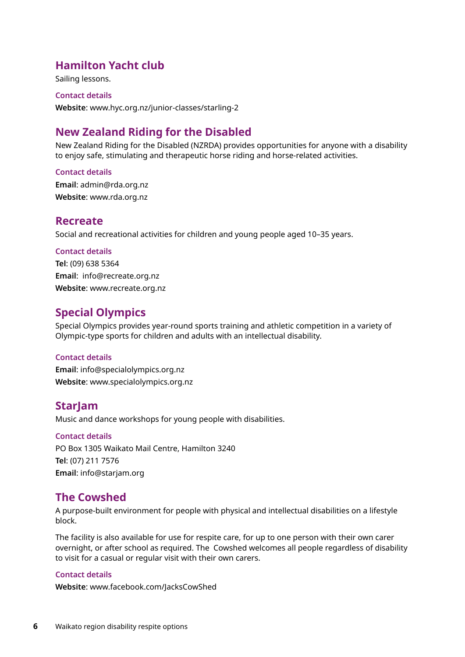## **Hamilton Yacht club**

Sailing lessons.

#### **Contact details**

**Website**: www.hyc.org.nz/junior-classes/starling-2

## **New Zealand Riding for the Disabled**

New Zealand Riding for the Disabled (NZRDA) provides opportunities for anyone with a disability to enjoy safe, stimulating and therapeutic horse riding and horse-related activities.

#### **Contact details**

**Email**: admin@rda.org.nz **Website**: www.rda.org.nz

### **Recreate**

Social and recreational activities for children and young people aged 10–35 years.

#### **Contact details**

**Tel**: (09) 638 5364 **Email**: info@recreate.org.nz **Website**: www.recreate.org.nz

## **Special Olympics**

Special Olympics provides year-round sports training and athletic competition in a variety of Olympic-type sports for children and adults with an intellectual disability.

#### **Contact details**

**Email**: info@specialolympics.org.nz **Website**: www.specialolympics.org.nz

## **StarJam**

Music and dance workshops for young people with disabilities.

**Contact details** PO Box 1305 Waikato Mail Centre, Hamilton 3240 **Tel**: (07) 211 7576 **Email**: info@starjam.org

## **The Cowshed**

A purpose-built environment for people with physical and intellectual disabilities on a lifestyle block.

The facility is also available for use for respite care, for up to one person with their own carer overnight, or after school as required. The Cowshed welcomes all people regardless of disability to visit for a casual or regular visit with their own carers.

#### **Contact details**

**Website**: www.facebook.com/JacksCowShed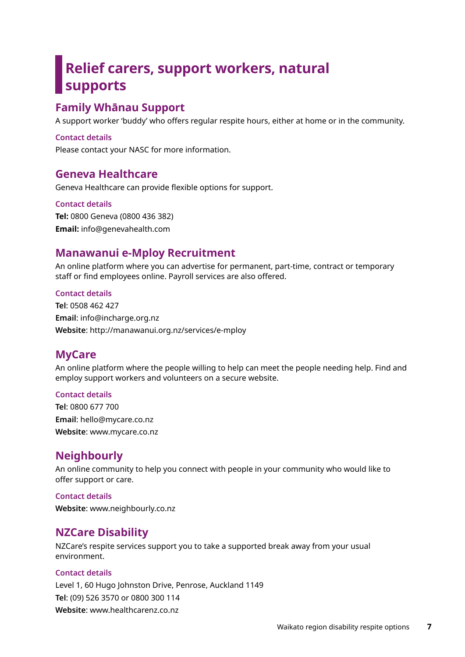## **Relief carers, support workers, natural supports**

## **Family Whānau Support**

A support worker 'buddy' who offers regular respite hours, either at home or in the community.

#### **Contact details**

Please contact your NASC for more information.

## **Geneva Healthcare**

Geneva Healthcare can provide flexible options for support.

#### **Contact details**

**Tel:** 0800 Geneva (0800 436 382) **Email:** info@genevahealth.com

## **Manawanui e-Mploy Recruitment**

An online platform where you can advertise for permanent, part-time, contract or temporary staff or find employees online. Payroll services are also offered.

#### **Contact details**

**Tel**: 0508 462 427 **Email**: info@incharge.org.nz **Website**: http://manawanui.org.nz/services/e-mploy

## **MyCare**

An online platform where the people willing to help can meet the people needing help. Find and employ support workers and volunteers on a secure website.

#### **Contact details**

**Tel**: 0800 677 700 **Email**: hello@mycare.co.nz **Website**: www.mycare.co.nz

## **Neighbourly**

An online community to help you connect with people in your community who would like to offer support or care.

#### **Contact details**

**Website**: www.neighbourly.co.nz

## **NZCare Disability**

NZCare's respite services support you to take a supported break away from your usual environment.

#### **Contact details**

Level 1, 60 Hugo Johnston Drive, Penrose, Auckland 1149 **Tel**: (09) 526 3570 or 0800 300 114 **Website**: www.healthcarenz.co.nz